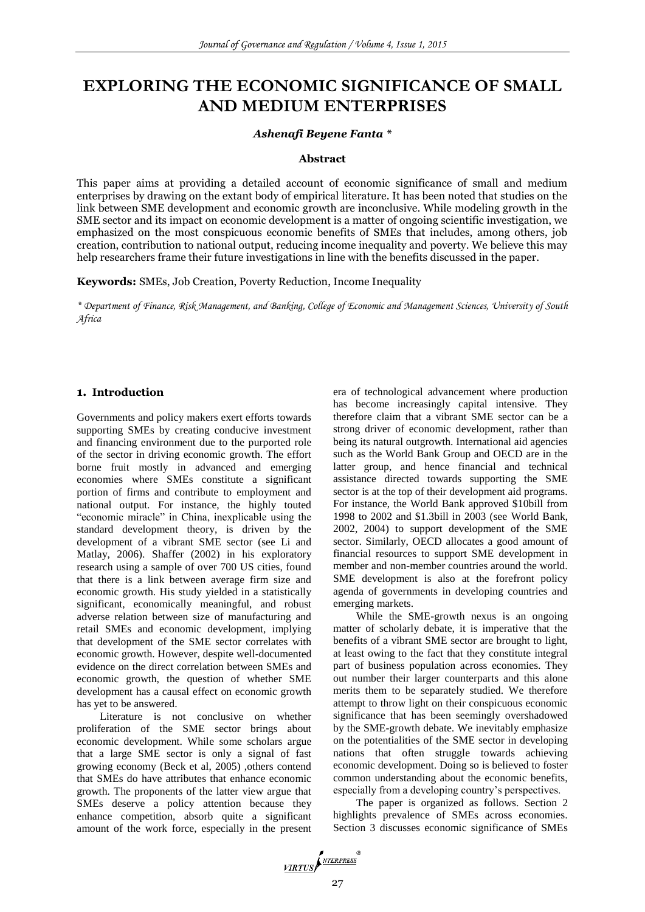# **EXPLORING THE ECONOMIC SIGNIFICANCE OF SMALL AND MEDIUM ENTERPRISES**

#### *Ashenafi Beyene Fanta \**

#### **Abstract**

This paper aims at providing a detailed account of economic significance of small and medium enterprises by drawing on the extant body of empirical literature. It has been noted that studies on the link between SME development and economic growth are inconclusive. While modeling growth in the SME sector and its impact on economic development is a matter of ongoing scientific investigation, we emphasized on the most conspicuous economic benefits of SMEs that includes, among others, job creation, contribution to national output, reducing income inequality and poverty. We believe this may help researchers frame their future investigations in line with the benefits discussed in the paper.

**Keywords:** SMEs, Job Creation, Poverty Reduction, Income Inequality

*\* Department of Finance, Risk Management, and Banking, College of Economic and Management Sciences, University of South Africa*

## **1. Introduction**

Governments and policy makers exert efforts towards supporting SMEs by creating conducive investment and financing environment due to the purported role of the sector in driving economic growth. The effort borne fruit mostly in advanced and emerging economies where SMEs constitute a significant portion of firms and contribute to employment and national output. For instance, the highly touted "economic miracle" in China, inexplicable using the standard development theory, is driven by the development of a vibrant SME sector (see Li and Matlay, 2006). Shaffer (2002) in his exploratory research using a sample of over 700 US cities, found that there is a link between average firm size and economic growth. His study yielded in a statistically significant, economically meaningful, and robust adverse relation between size of manufacturing and retail SMEs and economic development, implying that development of the SME sector correlates with economic growth. However, despite well-documented evidence on the direct correlation between SMEs and economic growth, the question of whether SME development has a causal effect on economic growth has yet to be answered.

Literature is not conclusive on whether proliferation of the SME sector brings about economic development. While some scholars argue that a large SME sector is only a signal of fast growing economy (Beck et al, 2005) ,others contend that SMEs do have attributes that enhance economic growth. The proponents of the latter view argue that SMEs deserve a policy attention because they enhance competition, absorb quite a significant amount of the work force, especially in the present

era of technological advancement where production has become increasingly capital intensive. They therefore claim that a vibrant SME sector can be a strong driver of economic development, rather than being its natural outgrowth. International aid agencies such as the World Bank Group and OECD are in the latter group, and hence financial and technical assistance directed towards supporting the SME sector is at the top of their development aid programs. For instance, the World Bank approved \$10bill from 1998 to 2002 and \$1.3bill in 2003 (see World Bank, 2002, 2004) to support development of the SME sector. Similarly, OECD allocates a good amount of financial resources to support SME development in member and non-member countries around the world. SME development is also at the forefront policy agenda of governments in developing countries and emerging markets.

While the SME-growth nexus is an ongoing matter of scholarly debate, it is imperative that the benefits of a vibrant SME sector are brought to light, at least owing to the fact that they constitute integral part of business population across economies. They out number their larger counterparts and this alone merits them to be separately studied. We therefore attempt to throw light on their conspicuous economic significance that has been seemingly overshadowed by the SME-growth debate. We inevitably emphasize on the potentialities of the SME sector in developing nations that often struggle towards achieving economic development. Doing so is believed to foster common understanding about the economic benefits, especially from a developing country's perspectives.

The paper is organized as follows. Section 2 highlights prevalence of SMEs across economies. Section 3 discusses economic significance of SMEs

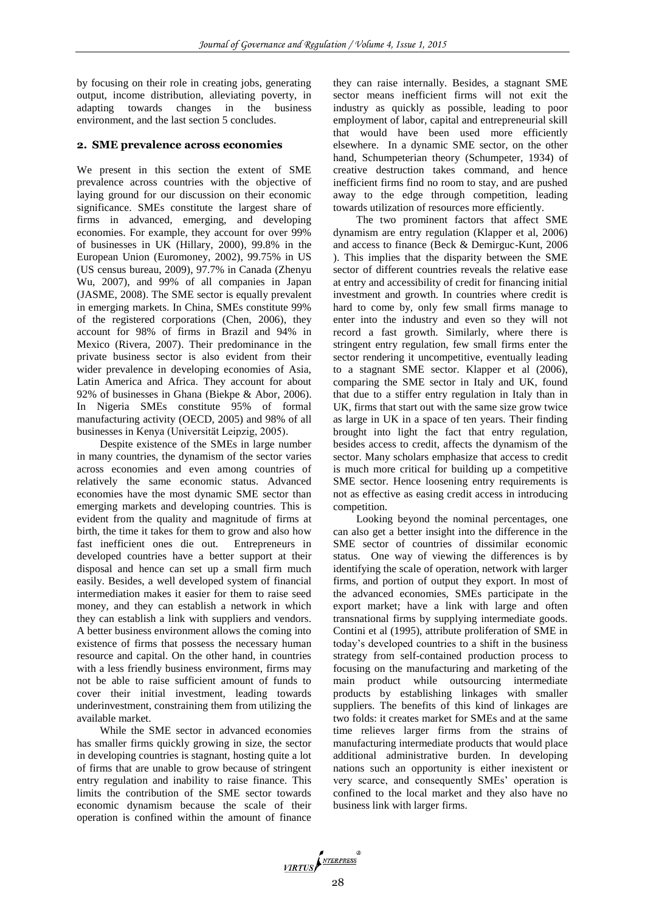by focusing on their role in creating jobs, generating output, income distribution, alleviating poverty, in adapting towards changes in the business environment, and the last section 5 concludes.

#### **2. SME prevalence across economies**

We present in this section the extent of SME prevalence across countries with the objective of laying ground for our discussion on their economic significance. SMEs constitute the largest share of firms in advanced, emerging, and developing economies. For example, they account for over 99% of businesses in UK (Hillary, 2000), 99.8% in the European Union (Euromoney, 2002), 99.75% in US (US census bureau, 2009), 97.7% in Canada (Zhenyu Wu, 2007), and 99% of all companies in Japan (JASME, 2008). The SME sector is equally prevalent in emerging markets. In China, SMEs constitute 99% of the registered corporations (Chen, 2006), they account for 98% of firms in Brazil and 94% in Mexico (Rivera, 2007). Their predominance in the private business sector is also evident from their wider prevalence in developing economies of Asia, Latin America and Africa. They account for about 92% of businesses in Ghana (Biekpe & Abor, 2006). In Nigeria SMEs constitute 95% of formal manufacturing activity (OECD, 2005) and 98% of all businesses in Kenya (Universität Leipzig, 2005).

Despite existence of the SMEs in large number in many countries, the dynamism of the sector varies across economies and even among countries of relatively the same economic status. Advanced economies have the most dynamic SME sector than emerging markets and developing countries. This is evident from the quality and magnitude of firms at birth, the time it takes for them to grow and also how fast inefficient ones die out. Entrepreneurs in developed countries have a better support at their disposal and hence can set up a small firm much easily. Besides, a well developed system of financial intermediation makes it easier for them to raise seed money, and they can establish a network in which they can establish a link with suppliers and vendors. A better business environment allows the coming into existence of firms that possess the necessary human resource and capital. On the other hand, in countries with a less friendly business environment, firms may not be able to raise sufficient amount of funds to cover their initial investment, leading towards underinvestment, constraining them from utilizing the available market.

While the SME sector in advanced economies has smaller firms quickly growing in size, the sector in developing countries is stagnant, hosting quite a lot of firms that are unable to grow because of stringent entry regulation and inability to raise finance. This limits the contribution of the SME sector towards economic dynamism because the scale of their operation is confined within the amount of finance

they can raise internally. Besides, a stagnant SME sector means inefficient firms will not exit the industry as quickly as possible, leading to poor employment of labor, capital and entrepreneurial skill that would have been used more efficiently elsewhere. In a dynamic SME sector, on the other hand, Schumpeterian theory (Schumpeter, 1934) of creative destruction takes command, and hence inefficient firms find no room to stay, and are pushed away to the edge through competition, leading towards utilization of resources more efficiently.

The two prominent factors that affect SME dynamism are entry regulation (Klapper et al, 2006) and access to finance (Beck & Demirguc-Kunt, 2006 ). This implies that the disparity between the SME sector of different countries reveals the relative ease at entry and accessibility of credit for financing initial investment and growth. In countries where credit is hard to come by, only few small firms manage to enter into the industry and even so they will not record a fast growth. Similarly, where there is stringent entry regulation, few small firms enter the sector rendering it uncompetitive, eventually leading to a stagnant SME sector. Klapper et al (2006), comparing the SME sector in Italy and UK, found that due to a stiffer entry regulation in Italy than in UK, firms that start out with the same size grow twice as large in UK in a space of ten years. Their finding brought into light the fact that entry regulation, besides access to credit, affects the dynamism of the sector. Many scholars emphasize that access to credit is much more critical for building up a competitive SME sector. Hence loosening entry requirements is not as effective as easing credit access in introducing competition.

Looking beyond the nominal percentages, one can also get a better insight into the difference in the SME sector of countries of dissimilar economic status. One way of viewing the differences is by identifying the scale of operation, network with larger firms, and portion of output they export. In most of the advanced economies, SMEs participate in the export market; have a link with large and often transnational firms by supplying intermediate goods. Contini et al (1995), attribute proliferation of SME in today's developed countries to a shift in the business strategy from self-contained production process to focusing on the manufacturing and marketing of the main product while outsourcing intermediate products by establishing linkages with smaller suppliers. The benefits of this kind of linkages are two folds: it creates market for SMEs and at the same time relieves larger firms from the strains of manufacturing intermediate products that would place additional administrative burden. In developing nations such an opportunity is either inexistent or very scarce, and consequently SMEs' operation is confined to the local market and they also have no business link with larger firms.

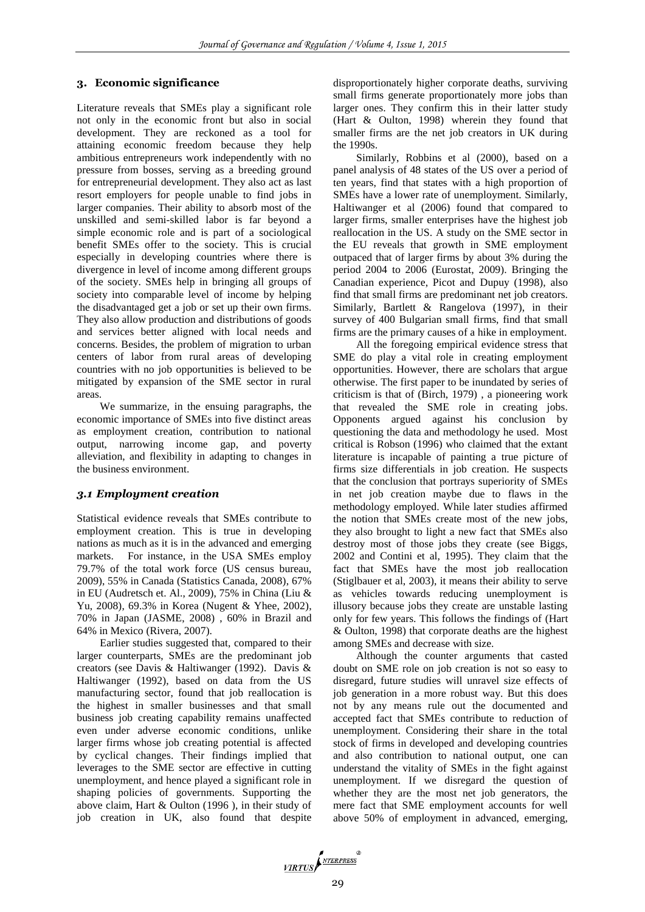## **3. Economic significance**

Literature reveals that SMEs play a significant role not only in the economic front but also in social development. They are reckoned as a tool for attaining economic freedom because they help ambitious entrepreneurs work independently with no pressure from bosses, serving as a breeding ground for entrepreneurial development. They also act as last resort employers for people unable to find jobs in larger companies. Their ability to absorb most of the unskilled and semi-skilled labor is far beyond a simple economic role and is part of a sociological benefit SMEs offer to the society. This is crucial especially in developing countries where there is divergence in level of income among different groups of the society. SMEs help in bringing all groups of society into comparable level of income by helping the disadvantaged get a job or set up their own firms. They also allow production and distributions of goods and services better aligned with local needs and concerns. Besides, the problem of migration to urban centers of labor from rural areas of developing countries with no job opportunities is believed to be mitigated by expansion of the SME sector in rural areas.

We summarize, in the ensuing paragraphs, the economic importance of SMEs into five distinct areas as employment creation, contribution to national output, narrowing income gap, and poverty alleviation, and flexibility in adapting to changes in the business environment.

## *3.1 Employment creation*

Statistical evidence reveals that SMEs contribute to employment creation. This is true in developing nations as much as it is in the advanced and emerging markets. For instance, in the USA SMEs employ 79.7% of the total work force (US census bureau, 2009), 55% in Canada (Statistics Canada, 2008), 67% in EU (Audretsch et. Al., 2009), 75% in China (Liu & Yu, 2008), 69.3% in Korea (Nugent & Yhee, 2002), 70% in Japan (JASME, 2008) , 60% in Brazil and 64% in Mexico (Rivera, 2007).

Earlier studies suggested that, compared to their larger counterparts, SMEs are the predominant job creators (see Davis & Haltiwanger (1992). Davis & Haltiwanger (1992), based on data from the US manufacturing sector, found that job reallocation is the highest in smaller businesses and that small business job creating capability remains unaffected even under adverse economic conditions, unlike larger firms whose job creating potential is affected by cyclical changes. Their findings implied that leverages to the SME sector are effective in cutting unemployment, and hence played a significant role in shaping policies of governments. Supporting the above claim, Hart & Oulton (1996 ), in their study of job creation in UK, also found that despite disproportionately higher corporate deaths, surviving small firms generate proportionately more jobs than larger ones. They confirm this in their latter study (Hart & Oulton, 1998) wherein they found that smaller firms are the net job creators in UK during the 1990s.

Similarly, Robbins et al (2000), based on a panel analysis of 48 states of the US over a period of ten years, find that states with a high proportion of SMEs have a lower rate of unemployment. Similarly, Haltiwanger et al (2006) found that compared to larger firms, smaller enterprises have the highest job reallocation in the US. A study on the SME sector in the EU reveals that growth in SME employment outpaced that of larger firms by about 3% during the period 2004 to 2006 (Eurostat, 2009). Bringing the Canadian experience, Picot and Dupuy (1998), also find that small firms are predominant net job creators. Similarly, Bartlett & Rangelova (1997), in their survey of 400 Bulgarian small firms, find that small firms are the primary causes of a hike in employment.

All the foregoing empirical evidence stress that SME do play a vital role in creating employment opportunities. However, there are scholars that argue otherwise. The first paper to be inundated by series of criticism is that of (Birch, 1979) , a pioneering work that revealed the SME role in creating jobs. Opponents argued against his conclusion by questioning the data and methodology he used. Most critical is Robson (1996) who claimed that the extant literature is incapable of painting a true picture of firms size differentials in job creation. He suspects that the conclusion that portrays superiority of SMEs in net job creation maybe due to flaws in the methodology employed. While later studies affirmed the notion that SMEs create most of the new jobs, they also brought to light a new fact that SMEs also destroy most of those jobs they create (see Biggs, 2002 and Contini et al, 1995). They claim that the fact that SMEs have the most job reallocation (Stiglbauer et al, 2003), it means their ability to serve as vehicles towards reducing unemployment is illusory because jobs they create are unstable lasting only for few years. This follows the findings of (Hart & Oulton, 1998) that corporate deaths are the highest among SMEs and decrease with size.

Although the counter arguments that casted doubt on SME role on job creation is not so easy to disregard, future studies will unravel size effects of job generation in a more robust way. But this does not by any means rule out the documented and accepted fact that SMEs contribute to reduction of unemployment. Considering their share in the total stock of firms in developed and developing countries and also contribution to national output, one can understand the vitality of SMEs in the fight against unemployment. If we disregard the question of whether they are the most net job generators, the mere fact that SME employment accounts for well above 50% of employment in advanced, emerging,

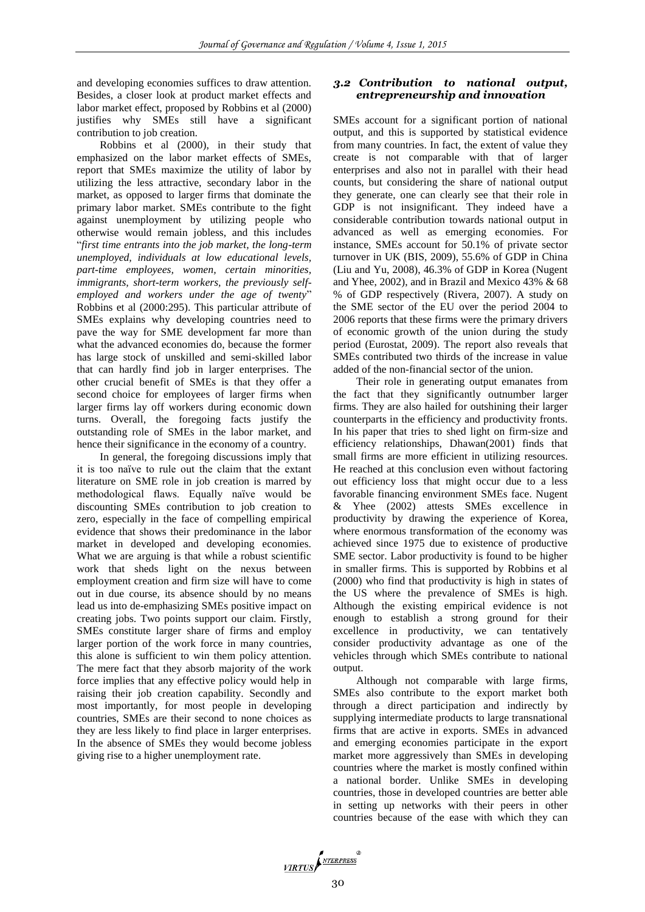and developing economies suffices to draw attention. Besides, a closer look at product market effects and labor market effect, proposed by Robbins et al (2000) justifies why SMEs still have a significant contribution to job creation.

Robbins et al (2000), in their study that emphasized on the labor market effects of SMEs, report that SMEs maximize the utility of labor by utilizing the less attractive, secondary labor in the market, as opposed to larger firms that dominate the primary labor market. SMEs contribute to the fight against unemployment by utilizing people who otherwise would remain jobless, and this includes "*first time entrants into the job market, the long-term unemployed, individuals at low educational levels, part-time employees, women, certain minorities, immigrants, short-term workers, the previously selfemployed and workers under the age of twenty*" Robbins et al (2000:295). This particular attribute of SMEs explains why developing countries need to pave the way for SME development far more than what the advanced economies do, because the former has large stock of unskilled and semi-skilled labor that can hardly find job in larger enterprises. The other crucial benefit of SMEs is that they offer a second choice for employees of larger firms when larger firms lay off workers during economic down turns. Overall, the foregoing facts justify the outstanding role of SMEs in the labor market, and hence their significance in the economy of a country.

In general, the foregoing discussions imply that it is too naïve to rule out the claim that the extant literature on SME role in job creation is marred by methodological flaws. Equally naïve would be discounting SMEs contribution to job creation to zero, especially in the face of compelling empirical evidence that shows their predominance in the labor market in developed and developing economies. What we are arguing is that while a robust scientific work that sheds light on the nexus between employment creation and firm size will have to come out in due course, its absence should by no means lead us into de-emphasizing SMEs positive impact on creating jobs. Two points support our claim. Firstly, SMEs constitute larger share of firms and employ larger portion of the work force in many countries, this alone is sufficient to win them policy attention. The mere fact that they absorb majority of the work force implies that any effective policy would help in raising their job creation capability. Secondly and most importantly, for most people in developing countries, SMEs are their second to none choices as they are less likely to find place in larger enterprises. In the absence of SMEs they would become jobless giving rise to a higher unemployment rate.

## *3.2 Contribution to national output, entrepreneurship and innovation*

SMEs account for a significant portion of national output, and this is supported by statistical evidence from many countries. In fact, the extent of value they create is not comparable with that of larger enterprises and also not in parallel with their head counts, but considering the share of national output they generate, one can clearly see that their role in GDP is not insignificant. They indeed have a considerable contribution towards national output in advanced as well as emerging economies. For instance, SMEs account for 50.1% of private sector turnover in UK (BIS, 2009), 55.6% of GDP in China (Liu and Yu, 2008), 46.3% of GDP in Korea (Nugent and Yhee, 2002), and in Brazil and Mexico 43% & 68 % of GDP respectively (Rivera, 2007). A study on the SME sector of the EU over the period 2004 to 2006 reports that these firms were the primary drivers of economic growth of the union during the study period (Eurostat, 2009). The report also reveals that SMEs contributed two thirds of the increase in value added of the non-financial sector of the union.

Their role in generating output emanates from the fact that they significantly outnumber larger firms. They are also hailed for outshining their larger counterparts in the efficiency and productivity fronts. In his paper that tries to shed light on firm-size and efficiency relationships, Dhawan(2001) finds that small firms are more efficient in utilizing resources. He reached at this conclusion even without factoring out efficiency loss that might occur due to a less favorable financing environment SMEs face. Nugent & Yhee (2002) attests SMEs excellence in productivity by drawing the experience of Korea, where enormous transformation of the economy was achieved since 1975 due to existence of productive SME sector. Labor productivity is found to be higher in smaller firms. This is supported by Robbins et al (2000) who find that productivity is high in states of the US where the prevalence of SMEs is high. Although the existing empirical evidence is not enough to establish a strong ground for their excellence in productivity, we can tentatively consider productivity advantage as one of the vehicles through which SMEs contribute to national output.

Although not comparable with large firms, SMEs also contribute to the export market both through a direct participation and indirectly by supplying intermediate products to large transnational firms that are active in exports. SMEs in advanced and emerging economies participate in the export market more aggressively than SMEs in developing countries where the market is mostly confined within a national border. Unlike SMEs in developing countries, those in developed countries are better able in setting up networks with their peers in other countries because of the ease with which they can

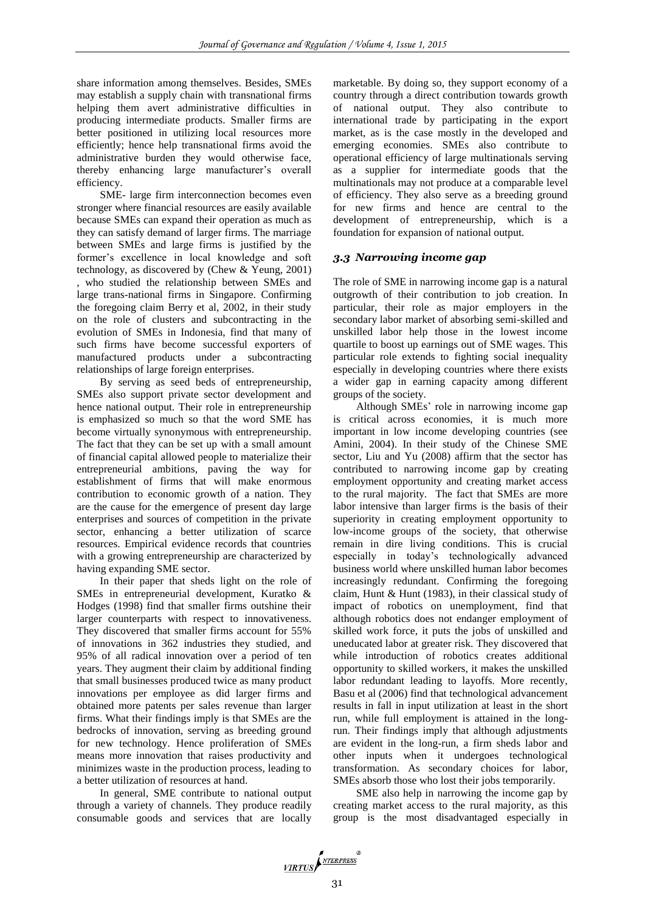share information among themselves. Besides, SMEs may establish a supply chain with transnational firms helping them avert administrative difficulties in producing intermediate products. Smaller firms are better positioned in utilizing local resources more efficiently; hence help transnational firms avoid the administrative burden they would otherwise face, thereby enhancing large manufacturer's overall efficiency.

SME- large firm interconnection becomes even stronger where financial resources are easily available because SMEs can expand their operation as much as they can satisfy demand of larger firms. The marriage between SMEs and large firms is justified by the former's excellence in local knowledge and soft technology, as discovered by (Chew & Yeung, 2001) , who studied the relationship between SMEs and large trans-national firms in Singapore. Confirming the foregoing claim Berry et al, 2002, in their study on the role of clusters and subcontracting in the evolution of SMEs in Indonesia, find that many of such firms have become successful exporters of manufactured products under a subcontracting relationships of large foreign enterprises.

By serving as seed beds of entrepreneurship, SMEs also support private sector development and hence national output. Their role in entrepreneurship is emphasized so much so that the word SME has become virtually synonymous with entrepreneurship. The fact that they can be set up with a small amount of financial capital allowed people to materialize their entrepreneurial ambitions, paving the way for establishment of firms that will make enormous contribution to economic growth of a nation. They are the cause for the emergence of present day large enterprises and sources of competition in the private sector, enhancing a better utilization of scarce resources. Empirical evidence records that countries with a growing entrepreneurship are characterized by having expanding SME sector.

In their paper that sheds light on the role of SMEs in entrepreneurial development, Kuratko & Hodges (1998) find that smaller firms outshine their larger counterparts with respect to innovativeness. They discovered that smaller firms account for 55% of innovations in 362 industries they studied, and 95% of all radical innovation over a period of ten years. They augment their claim by additional finding that small businesses produced twice as many product innovations per employee as did larger firms and obtained more patents per sales revenue than larger firms. What their findings imply is that SMEs are the bedrocks of innovation, serving as breeding ground for new technology. Hence proliferation of SMEs means more innovation that raises productivity and minimizes waste in the production process, leading to a better utilization of resources at hand.

In general, SME contribute to national output through a variety of channels. They produce readily consumable goods and services that are locally

marketable. By doing so, they support economy of a country through a direct contribution towards growth of national output. They also contribute to international trade by participating in the export market, as is the case mostly in the developed and emerging economies. SMEs also contribute to operational efficiency of large multinationals serving as a supplier for intermediate goods that the multinationals may not produce at a comparable level of efficiency. They also serve as a breeding ground for new firms and hence are central to the development of entrepreneurship, which is a foundation for expansion of national output.

# *3.3 Narrowing income gap*

The role of SME in narrowing income gap is a natural outgrowth of their contribution to job creation. In particular, their role as major employers in the secondary labor market of absorbing semi-skilled and unskilled labor help those in the lowest income quartile to boost up earnings out of SME wages. This particular role extends to fighting social inequality especially in developing countries where there exists a wider gap in earning capacity among different groups of the society.

Although SMEs' role in narrowing income gap is critical across economies, it is much more important in low income developing countries (see Amini, 2004). In their study of the Chinese SME sector, Liu and Yu (2008) affirm that the sector has contributed to narrowing income gap by creating employment opportunity and creating market access to the rural majority. The fact that SMEs are more labor intensive than larger firms is the basis of their superiority in creating employment opportunity to low-income groups of the society, that otherwise remain in dire living conditions. This is crucial especially in today's technologically advanced business world where unskilled human labor becomes increasingly redundant. Confirming the foregoing claim, Hunt & Hunt (1983), in their classical study of impact of robotics on unemployment, find that although robotics does not endanger employment of skilled work force, it puts the jobs of unskilled and uneducated labor at greater risk. They discovered that while introduction of robotics creates additional opportunity to skilled workers, it makes the unskilled labor redundant leading to layoffs. More recently, Basu et al (2006) find that technological advancement results in fall in input utilization at least in the short run, while full employment is attained in the longrun. Their findings imply that although adjustments are evident in the long-run, a firm sheds labor and other inputs when it undergoes technological transformation. As secondary choices for labor, SMEs absorb those who lost their jobs temporarily.

SME also help in narrowing the income gap by creating market access to the rural majority, as this group is the most disadvantaged especially in

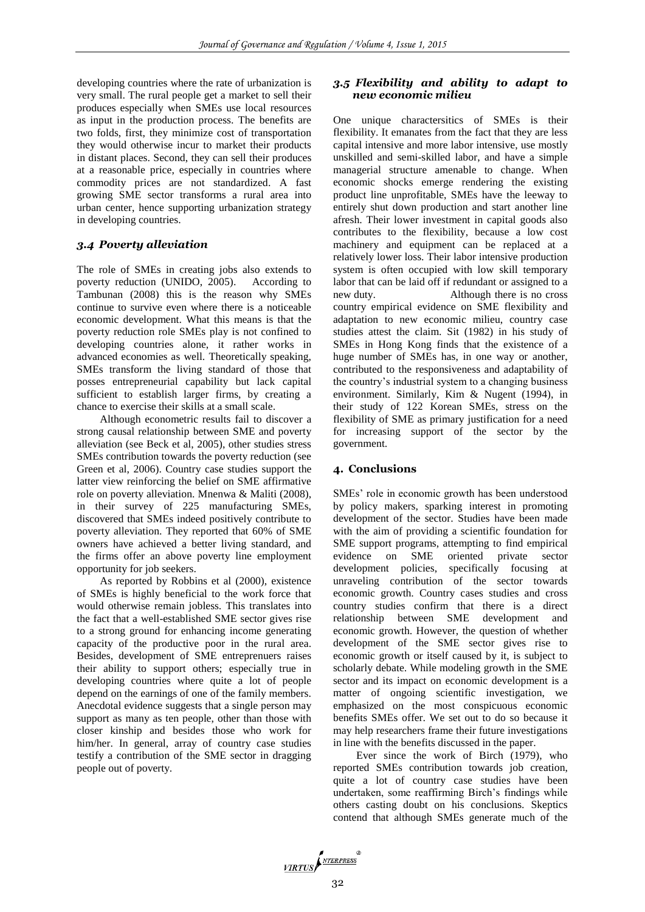developing countries where the rate of urbanization is very small. The rural people get a market to sell their produces especially when SMEs use local resources as input in the production process. The benefits are two folds, first, they minimize cost of transportation they would otherwise incur to market their products in distant places. Second, they can sell their produces at a reasonable price, especially in countries where commodity prices are not standardized. A fast growing SME sector transforms a rural area into urban center, hence supporting urbanization strategy in developing countries.

# *3.4 Poverty alleviation*

The role of SMEs in creating jobs also extends to poverty reduction (UNIDO, 2005). According to Tambunan (2008) this is the reason why SMEs continue to survive even where there is a noticeable economic development. What this means is that the poverty reduction role SMEs play is not confined to developing countries alone, it rather works in advanced economies as well. Theoretically speaking, SMEs transform the living standard of those that posses entrepreneurial capability but lack capital sufficient to establish larger firms, by creating a chance to exercise their skills at a small scale.

Although econometric results fail to discover a strong causal relationship between SME and poverty alleviation (see Beck et al, 2005), other studies stress SMEs contribution towards the poverty reduction (see Green et al, 2006). Country case studies support the latter view reinforcing the belief on SME affirmative role on poverty alleviation. Mnenwa & Maliti (2008), in their survey of 225 manufacturing SMEs, discovered that SMEs indeed positively contribute to poverty alleviation. They reported that 60% of SME owners have achieved a better living standard, and the firms offer an above poverty line employment opportunity for job seekers.

As reported by Robbins et al (2000), existence of SMEs is highly beneficial to the work force that would otherwise remain jobless. This translates into the fact that a well-established SME sector gives rise to a strong ground for enhancing income generating capacity of the productive poor in the rural area. Besides, development of SME entreprenuers raises their ability to support others; especially true in developing countries where quite a lot of people depend on the earnings of one of the family members. Anecdotal evidence suggests that a single person may support as many as ten people, other than those with closer kinship and besides those who work for him/her. In general, array of country case studies testify a contribution of the SME sector in dragging people out of poverty.

# *3.5 Flexibility and ability to adapt to new economic milieu*

One unique charactersitics of SMEs is their flexibility. It emanates from the fact that they are less capital intensive and more labor intensive, use mostly unskilled and semi-skilled labor, and have a simple managerial structure amenable to change. When economic shocks emerge rendering the existing product line unprofitable, SMEs have the leeway to entirely shut down production and start another line afresh. Their lower investment in capital goods also contributes to the flexibility, because a low cost machinery and equipment can be replaced at a relatively lower loss. Their labor intensive production system is often occupied with low skill temporary labor that can be laid off if redundant or assigned to a new duty. Although there is no cross country empirical evidence on SME flexibility and adaptation to new economic milieu, country case studies attest the claim. Sit (1982) in his study of SMEs in Hong Kong finds that the existence of a huge number of SMEs has, in one way or another, contributed to the responsiveness and adaptability of the country's industrial system to a changing business environment. Similarly, Kim & Nugent (1994), in their study of 122 Korean SMEs, stress on the flexibility of SME as primary justification for a need for increasing support of the sector by the government.

## **4. Conclusions**

SMEs' role in economic growth has been understood by policy makers, sparking interest in promoting development of the sector. Studies have been made with the aim of providing a scientific foundation for SME support programs, attempting to find empirical evidence on SME oriented private sector development policies, specifically focusing at unraveling contribution of the sector towards economic growth. Country cases studies and cross country studies confirm that there is a direct relationship between SME development and economic growth. However, the question of whether development of the SME sector gives rise to economic growth or itself caused by it, is subject to scholarly debate. While modeling growth in the SME sector and its impact on economic development is a matter of ongoing scientific investigation, we emphasized on the most conspicuous economic benefits SMEs offer. We set out to do so because it may help researchers frame their future investigations in line with the benefits discussed in the paper.

Ever since the work of Birch (1979), who reported SMEs contribution towards job creation, quite a lot of country case studies have been undertaken, some reaffirming Birch's findings while others casting doubt on his conclusions. Skeptics contend that although SMEs generate much of the

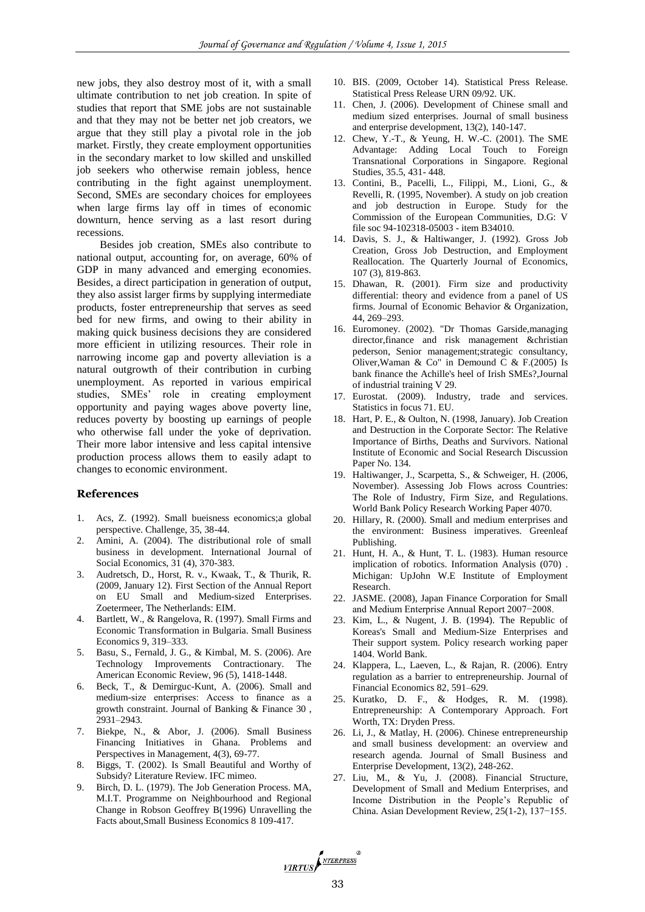new jobs, they also destroy most of it, with a small ultimate contribution to net job creation. In spite of studies that report that SME jobs are not sustainable and that they may not be better net job creators, we argue that they still play a pivotal role in the job market. Firstly, they create employment opportunities in the secondary market to low skilled and unskilled job seekers who otherwise remain jobless, hence contributing in the fight against unemployment. Second, SMEs are secondary choices for employees when large firms lay off in times of economic downturn, hence serving as a last resort during recessions.

Besides job creation, SMEs also contribute to national output, accounting for, on average, 60% of GDP in many advanced and emerging economies. Besides, a direct participation in generation of output, they also assist larger firms by supplying intermediate products, foster entrepreneurship that serves as seed bed for new firms, and owing to their ability in making quick business decisions they are considered more efficient in utilizing resources. Their role in narrowing income gap and poverty alleviation is a natural outgrowth of their contribution in curbing unemployment. As reported in various empirical studies, SMEs' role in creating employment opportunity and paying wages above poverty line, reduces poverty by boosting up earnings of people who otherwise fall under the yoke of deprivation. Their more labor intensive and less capital intensive production process allows them to easily adapt to changes to economic environment.

#### **References**

- 1. Acs, Z. (1992). Small bueisness economics;a global perspective. Challenge, 35, 38-44.
- 2. Amini, A. (2004). The distributional role of small business in development. International Journal of Social Economics, 31 (4), 370-383.
- 3. Audretsch, D., Horst, R. v., Kwaak, T., & Thurik, R. (2009, January 12). First Section of the Annual Report on EU Small and Medium-sized Enterprises. Zoetermeer, The Netherlands: EIM.
- 4. Bartlett, W., & Rangelova, R. (1997). Small Firms and Economic Transformation in Bulgaria. Small Business Economics 9, 319–333.
- 5. Basu, S., Fernald, J. G., & Kimbal, M. S. (2006). Are Technology Improvements Contractionary. The American Economic Review, 96 (5), 1418-1448.
- Beck, T., & Demirguc-Kunt, A. (2006). Small and medium-size enterprises: Access to finance as a growth constraint. Journal of Banking & Finance 30 , 2931–2943.
- 7. Biekpe, N., & Abor, J. (2006). Small Business Financing Initiatives in Ghana. Problems and Perspectives in Management, 4(3), 69-77.
- 8. Biggs, T. (2002). Is Small Beautiful and Worthy of Subsidy? Literature Review. IFC mimeo.
- Birch, D. L. (1979). The Job Generation Process. MA, M.I.T. Programme on Neighbourhood and Regional Change in Robson Geoffrey B(1996) Unravelling the Facts about,Small Business Economics 8 109-417.
- 10. BIS. (2009, October 14). Statistical Press Release. Statistical Press Release URN 09/92. UK.
- 11. Chen, J. (2006). Development of Chinese small and medium sized enterprises. Journal of small business and enterprise development, 13(2), 140-147.
- 12. Chew, Y.-T., & Yeung, H. W.-C. (2001). The SME Advantage: Adding Local Touch to Foreign Transnational Corporations in Singapore. Regional Studies, 35.5, 431- 448.
- 13. Contini, B., Pacelli, L., Filippi, M., Lioni, G., & Revelli, R. (1995, November). A study on job creation and job destruction in Europe. Study for the Commission of the European Communities, D.G: V file soc 94-102318-05003 - item B34010.
- 14. Davis, S. J., & Haltiwanger, J. (1992). Gross Job Creation, Gross Job Destruction, and Employment Reallocation. The Quarterly Journal of Economics, 107 (3), 819-863.
- 15. Dhawan, R. (2001). Firm size and productivity differential: theory and evidence from a panel of US firms. Journal of Economic Behavior & Organization, 44, 269–293.
- 16. Euromoney. (2002). "Dr Thomas Garside,managing director,finance and risk management &christian pederson, Senior management;strategic consultancy, Oliver, Waman & Co" in Demound  $\tilde{C}$  & F.(2005) Is bank finance the Achille's heel of Irish SMEs?,Journal of industrial training V 29.
- 17. Eurostat. (2009). Industry, trade and services. Statistics in focus 71. EU.
- 18. Hart, P. E., & Oulton, N. (1998, January). Job Creation and Destruction in the Corporate Sector: The Relative Importance of Births, Deaths and Survivors. National Institute of Economic and Social Research Discussion Paper No. 134.
- 19. Haltiwanger, J., Scarpetta, S., & Schweiger, H. (2006, November). Assessing Job Flows across Countries: The Role of Industry, Firm Size, and Regulations. World Bank Policy Research Working Paper 4070.
- 20. Hillary, R. (2000). Small and medium enterprises and the environment: Business imperatives. Greenleaf Publishing.
- 21. Hunt, H. A., & Hunt, T. L. (1983). Human resource implication of robotics. Information Analysis (070) . Michigan: UpJohn W.E Institute of Employment Research.
- 22. JASME. (2008), Japan Finance Corporation for Small and Medium Enterprise Annual Report 2007−2008.
- 23. Kim, L., & Nugent, J. B. (1994). The Republic of Koreas's Small and Medium-Size Enterprises and Their support system. Policy research working paper 1404. World Bank.
- 24. Klappera, L., Laeven, L., & Rajan, R. (2006). Entry regulation as a barrier to entrepreneurship. Journal of Financial Economics 82, 591–629.
- 25. Kuratko, D. F., & Hodges, R. M. (1998). Entrepreneurship: A Contemporary Approach. Fort Worth, TX: Dryden Press.
- 26. Li, J., & Matlay, H. (2006). Chinese entrepreneurship and small business development: an overview and research agenda. Journal of Small Business and Enterprise Development, 13(2), 248-262.
- 27. Liu, M., & Yu, J. (2008). Financial Structure, Development of Small and Medium Enterprises, and Income Distribution in the People's Republic of China. Asian Development Review, 25(1-2), 137−155.

VIRTUS NTERPRESS